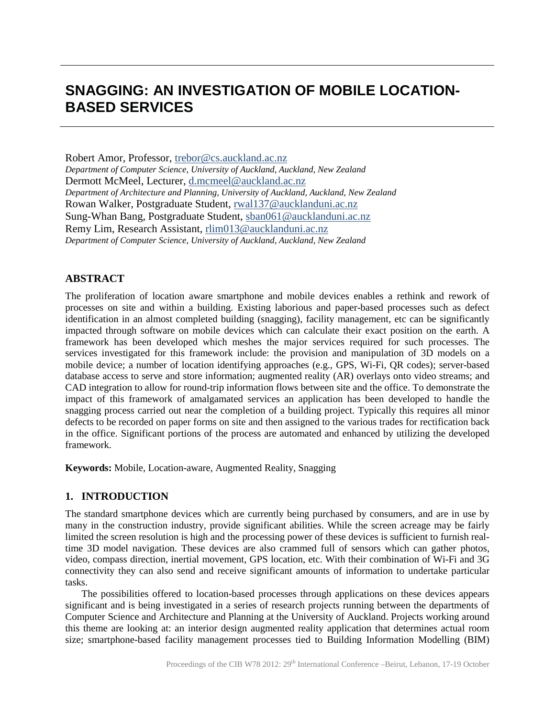# **SNAGGING: AN INVESTIGATION OF MOBILE LOCATION-BASED SERVICES**

Robert Amor, Professor, trebor@cs.auckland.ac.nz *Department of Computer Science, University of Auckland, Auckland, New Zealand* Dermott McMeel, Lecturer, d.mcmeel@auckland.ac.nz *Department of Architecture and Planning, University of Auckland, Auckland, New Zealand* Rowan Walker, Postgraduate Student, rwal137@aucklanduni.ac.nz Sung-Whan Bang, Postgraduate Student, sban061@aucklanduni.ac.nz Remy Lim, Research Assistant, rlim013@aucklanduni.ac.nz *Department of Computer Science, University of Auckland, Auckland, New Zealand*

## **ABSTRACT**

The proliferation of location aware smartphone and mobile devices enables a rethink and rework of processes on site and within a building. Existing laborious and paper-based processes such as defect identification in an almost completed building (snagging), facility management, etc can be significantly impacted through software on mobile devices which can calculate their exact position on the earth. A framework has been developed which meshes the major services required for such processes. The services investigated for this framework include: the provision and manipulation of 3D models on a mobile device; a number of location identifying approaches (e.g., GPS, Wi-Fi, QR codes); server-based database access to serve and store information; augmented reality (AR) overlays onto video streams; and CAD integration to allow for round-trip information flows between site and the office. To demonstrate the impact of this framework of amalgamated services an application has been developed to handle the snagging process carried out near the completion of a building project. Typically this requires all minor defects to be recorded on paper forms on site and then assigned to the various trades for rectification back in the office. Significant portions of the process are automated and enhanced by utilizing the developed framework.

**Keywords:** Mobile, Location-aware, Augmented Reality, Snagging

## **1. INTRODUCTION**

The standard smartphone devices which are currently being purchased by consumers, and are in use by many in the construction industry, provide significant abilities. While the screen acreage may be fairly limited the screen resolution is high and the processing power of these devices is sufficient to furnish realtime 3D model navigation. These devices are also crammed full of sensors which can gather photos, video, compass direction, inertial movement, GPS location, etc. With their combination of Wi-Fi and 3G connectivity they can also send and receive significant amounts of information to undertake particular tasks.

The possibilities offered to location-based processes through applications on these devices appears significant and is being investigated in a series of research projects running between the departments of Computer Science and Architecture and Planning at the University of Auckland. Projects working around this theme are looking at: an interior design augmented reality application that determines actual room size; smartphone-based facility management processes tied to Building Information Modelling (BIM)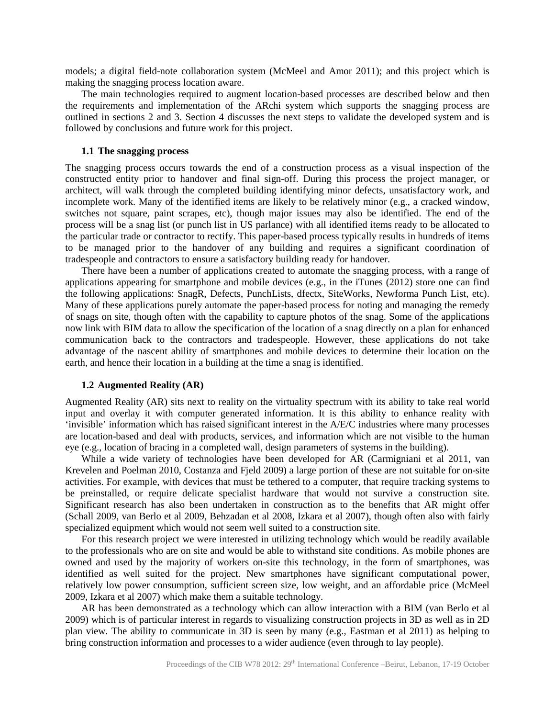models; a digital field-note collaboration system (McMeel and Amor 2011); and this project which is making the snagging process location aware.

The main technologies required to augment location-based processes are described below and then the requirements and implementation of the ARchi system which supports the snagging process are outlined in sections 2 and 3. Section 4 discusses the next steps to validate the developed system and is followed by conclusions and future work for this project.

#### **1.1 The snagging process**

The snagging process occurs towards the end of a construction process as a visual inspection of the constructed entity prior to handover and final sign-off. During this process the project manager, or architect, will walk through the completed building identifying minor defects, unsatisfactory work, and incomplete work. Many of the identified items are likely to be relatively minor (e.g., a cracked window, switches not square, paint scrapes, etc), though major issues may also be identified. The end of the process will be a snag list (or punch list in US parlance) with all identified items ready to be allocated to the particular trade or contractor to rectify. This paper-based process typically results in hundreds of items to be managed prior to the handover of any building and requires a significant coordination of tradespeople and contractors to ensure a satisfactory building ready for handover.

There have been a number of applications created to automate the snagging process, with a range of applications appearing for smartphone and mobile devices (e.g., in the iTunes  $(2012)$  store one can find the following applications: SnagR, Defects, PunchLists, dfectx, SiteWorks, Newforma Punch List, etc). Many of these applications purely automate the paper-based process for noting and managing the remedy of snags on site, though often with the capability to capture photos of the snag. Some of the applications now link with BIM data to allow the specification of the location of a snag directly on a plan for enhanced communication back to the contractors and tradespeople. However, these applications do not take advantage of the nascent ability of smartphones and mobile devices to determine their location on the earth, and hence their location in a building at the time a snag is identified.

#### **1.2 Augmented Reality (AR)**

Augmented Reality (AR) sits next to reality on the virtuality spectrum with its ability to take real world input and overlay it with computer generated information. It is this ability to enhance reality with 'invisible' information which has raised significant interest in the A/E/C industries where many processes are location-based and deal with products, services, and information which are not visible to the human eye (e.g., location of bracing in a completed wall, design parameters of systems in the building).

While a wide variety of technologies have been developed for AR (Carmigniani et al 2011, van Krevelen and Poelman 2010, Costanza and Fjeld 2009) a large portion of these are not suitable for on-site activities. For example, with devices that must be tethered to a computer, that require tracking systems to be preinstalled, or require delicate specialist hardware that would not survive a construction site. Significant research has also been undertaken in construction as to the benefits that AR might offer (Schall 2009, van Berlo et al 2009, Behzadan et al 2008, Izkara et al 2007), though often also with fairly specialized equipment which would not seem well suited to a construction site.

For this research project we were interested in utilizing technology which would be readily available to the professionals who are on site and would be able to withstand site conditions. As mobile phones are owned and used by the majority of workers on-site this technology, in the form of smartphones, was identified as well suited for the project. New smartphones have significant computational power, relatively low power consumption, sufficient screen size, low weight, and an affordable price (McMeel 2009, Izkara et al 2007) which make them a suitable technology.

AR has been demonstrated as a technology which can allow interaction with a BIM (van Berlo et al 2009) which is of particular interest in regards to visualizing construction projects in 3D as well as in 2D plan view. The ability to communicate in 3D is seen by many (e.g., Eastman et al 2011) as helping to bring construction information and processes to a wider audience (even through to lay people).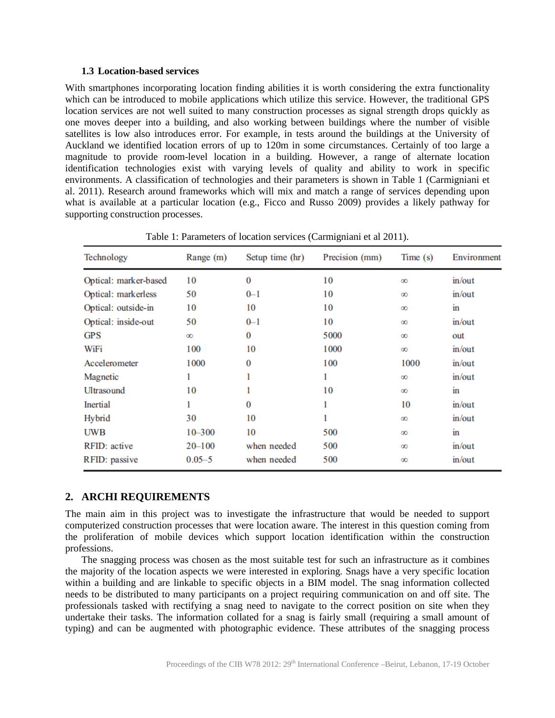#### **1.3 Location-based services**

With smartphones incorporating location finding abilities it is worth considering the extra functionality which can be introduced to mobile applications which utilize this service. However, the traditional GPS location services are not well suited to many construction processes as signal strength drops quickly as one moves deeper into a building, and also working between buildings where the number of visible satellites is low also introduces error. For example, in tests around the buildings at the University of Auckland we identified location errors of up to 120m in some circumstances. Certainly of too large a magnitude to provide room-level location in a building. However, a range of alternate location identification technologies exist with varying levels of quality and ability to work in specific environments. A classification of technologies and their parameters is shown in Table 1 (Carmigniani et al. 2011). Research around frameworks which will mix and match a range of services depending upon what is available at a particular location (e.g., Ficco and Russo 2009) provides a likely pathway for supporting construction processes.

| Technology            | Range (m)  | Setup time (hr) | Precision (mm) | Time(s)  | Environment   |
|-----------------------|------------|-----------------|----------------|----------|---------------|
| Optical: marker-based | 10         | $\bf{0}$        | 10             | $\infty$ | in/out        |
| Optical: markerless   | 50         | $0 - 1$         | 10             | $\infty$ | in/out        |
| Optical: outside-in   | 10         | 10              | 10             | $\infty$ | $\mathbf{in}$ |
| Optical: inside-out   | 50         | $0 - 1$         | 10             | $\infty$ | in/out        |
| <b>GPS</b>            | $\infty$   | $\bf{0}$        | 5000           | $\infty$ | out           |
| WiFi                  | 100        | 10              | 1000           | $\infty$ | in/out        |
| Accelerometer         | 1000       | $\bf{0}$        | 100            | 1000     | in/out        |
| Magnetic              |            |                 |                | $\infty$ | in/out        |
| Ultrasound            | 10         |                 | 10             | $\infty$ | $\mathbf{in}$ |
| <b>Inertial</b>       |            | $\Omega$        |                | 10       | in/out        |
| Hybrid                | 30         | 10              |                | $\infty$ | in/out        |
| <b>UWB</b>            | $10 - 300$ | 10              | 500            | $\infty$ | $\mathbf{in}$ |
| RFID: active          | $20 - 100$ | when needed     | 500            | $\infty$ | in/out        |
| RFID: passive         | $0.05 - 5$ | when needed     | 500            | $\infty$ | in/out        |

Table 1: Parameters of location services (Carmigniani et al 2011).

#### **2. ARCHI REQUIREMENTS**

The main aim in this project was to investigate the infrastructure that would be needed to support computerized construction processes that were location aware. The interest in this question coming from the proliferation of mobile devices which support location identification within the construction professions.

The snagging process was chosen as the most suitable test for such an infrastructure as it combines the majority of the location aspects we were interested in exploring. Snags have a very specific location within a building and are linkable to specific objects in a BIM model. The snag information collected needs to be distributed to many participants on a project requiring communication on and off site. The professionals tasked with rectifying a snag need to navigate to the correct position on site when they undertake their tasks. The information collated for a snag is fairly small (requiring a small amount of typing) and can be augmented with photographic evidence. These attributes of the snagging process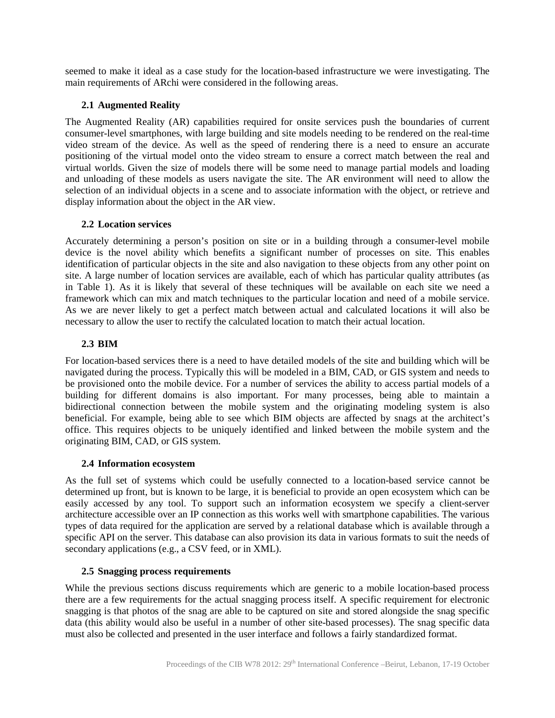seemed to make it ideal as a case study for the location-based infrastructure we were investigating. The main requirements of ARchi were considered in the following areas.

## **2.1 Augmented Reality**

The Augmented Reality (AR) capabilities required for onsite services push the boundaries of current consumer-level smartphones, with large building and site models needing to be rendered on the real-time video stream of the device. As well as the speed of rendering there is a need to ensure an accurate positioning of the virtual model onto the video stream to ensure a correct match between the real and virtual worlds. Given the size of models there will be some need to manage partial models and loading and unloading of these models as users navigate the site. The AR environment will need to allow the selection of an individual objects in a scene and to associate information with the object, or retrieve and display information about the object in the AR view.

## **2.2 Location services**

Accurately determining a person's position on site or in a building through a consumer-level mobile device is the novel ability which benefits a significant number of processes on site. This enables identification of particular objects in the site and also navigation to these objects from any other point on site. A large number of location services are available, each of which has particular quality attributes (as in Table 1). As it is likely that several of these techniques will be available on each site we need a framework which can mix and match techniques to the particular location and need of a mobile service. As we are never likely to get a perfect match between actual and calculated locations it will also be necessary to allow the user to rectify the calculated location to match their actual location.

# **2.3 BIM**

For location-based services there is a need to have detailed models of the site and building which will be navigated during the process. Typically this will be modeled in a BIM, CAD, or GIS system and needs to be provisioned onto the mobile device. For a number of services the ability to access partial models of a building for different domains is also important. For many processes, being able to maintain a bidirectional connection between the mobile system and the originating modeling system is also beneficial. For example, being able to see which BIM objects are affected by snags at the architect's office. This requires objects to be uniquely identified and linked between the mobile system and the originating BIM, CAD, or GIS system.

## **2.4 Information ecosystem**

As the full set of systems which could be usefully connected to a location-based service cannot be determined up front, but is known to be large, it is beneficial to provide an open ecosystem which can be easily accessed by any tool. To support such an information ecosystem we specify a client-server architecture accessible over an IP connection as this works well with smartphone capabilities. The various types of data required for the application are served by a relational database which is available through a specific API on the server. This database can also provision its data in various formats to suit the needs of secondary applications (e.g., a CSV feed, or in XML).

## **2.5 Snagging process requirements**

While the previous sections discuss requirements which are generic to a mobile location-based process there are a few requirements for the actual snagging process itself. A specific requirement for electronic snagging is that photos of the snag are able to be captured on site and stored alongside the snag specific data (this ability would also be useful in a number of other site-based processes). The snag specific data must also be collected and presented in the user interface and follows a fairly standardized format.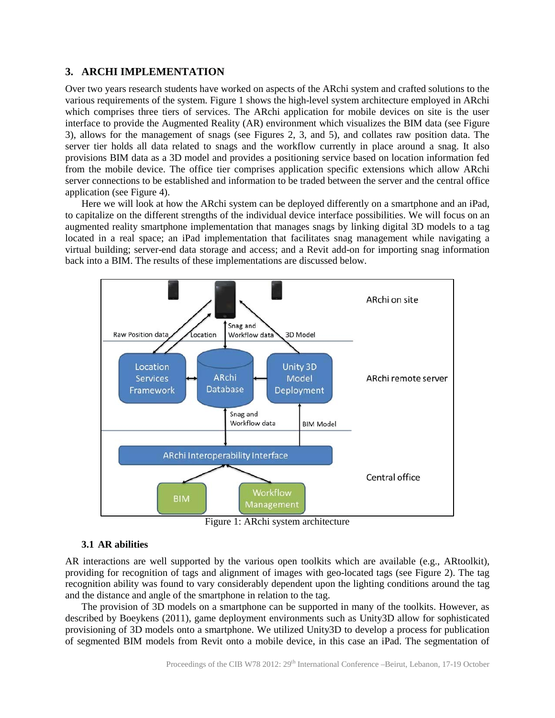## **3. ARCHI IMPLEMENTATION**

Over two years research students have worked on aspects of the ARchi system and crafted solutions to the various requirements of the system. Figure 1 shows the high-level system architecture employed in ARchi which comprises three tiers of services. The ARchi application for mobile devices on site is the user interface to provide the Augmented Reality (AR) environment which visualizes the BIM data (see Figure 3), allows for the management of snags (see Figures 2, 3, and 5), and collates raw position data. The server tier holds all data related to snags and the workflow currently in place around a snag. It also provisions BIM data as a 3D model and provides a positioning service based on location information fed from the mobile device. The office tier comprises application specific extensions which allow ARchi server connections to be established and information to be traded between the server and the central office application (see Figure 4).

Here we will look at how the ARchi system can be deployed differently on a smartphone and an iPad, to capitalize on the different strengths of the individual device interface possibilities. We will focus on an augmented reality smartphone implementation that manages snags by linking digital 3D models to a tag located in a real space; an iPad implementation that facilitates snag management while navigating a virtual building; server-end data storage and access; and a Revit add-on for importing snag information back into a BIM. The results of these implementations are discussed below.



Figure 1: ARchi system architecture

#### **3.1 AR abilities**

AR interactions are well supported by the various open toolkits which are available (e.g., ARtoolkit), providing for recognition of tags and alignment of images with geo-located tags (see Figure 2). The tag recognition ability was found to vary considerably dependent upon the lighting conditions around the tag and the distance and angle of the smartphone in relation to the tag.

The provision of 3D models on a smartphone can be supported in many of the toolkits. However, as described by Boeykens (2011), game deployment environments such as Unity3D allow for sophisticated provisioning of 3D models onto a smartphone. We utilized Unity3D to develop a process for publication of segmented BIM models from Revit onto a mobile device, in this case an iPad. The segmentation of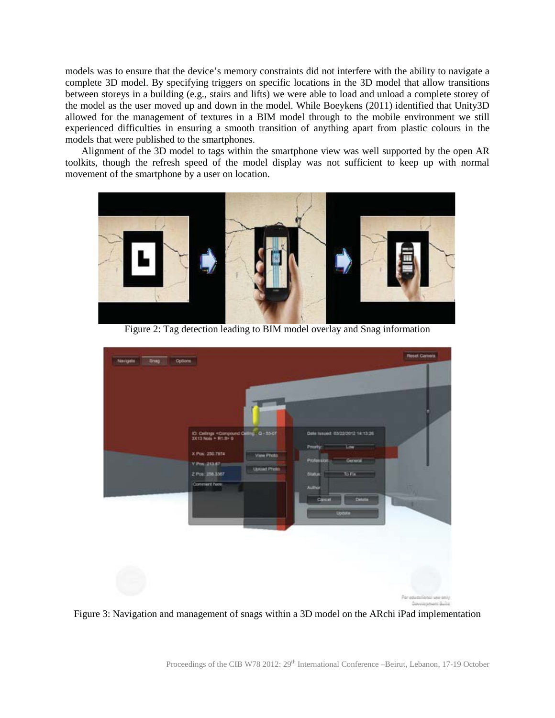models was to ensure that the device's memory constraints did not interfere with the ability to navigate a complete 3D model. By specifying triggers on specific locations in the 3D model that allow transitions between storeys in a building (e.g., stairs and lifts) we were able to load and unload a complete storey of the model as the user moved up and down in the model. While Boeykens (2011) identified that Unity3D allowed for the management of textures in a BIM model through to the mobile environment we still experienced difficulties in ensuring a smooth transition of anything apart from plastic colours in the models that were published to the smartphones.

Alignment of the 3D model to tags within the smartphone view was well supported by the open AR toolkits, though the refresh speed of the model display was not sufficient to keep up with normal movement of the smartphone by a user on location.



Figure 2: Tag detection leading to BIM model overlay and Snag information



Figure 3: Navigation and management of snags within a 3D model on the ARchi iPad implementation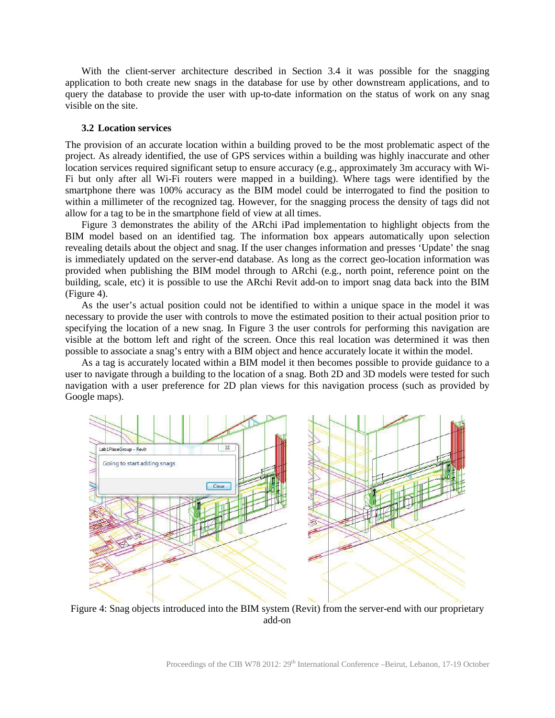With the client-server architecture described in Section 3.4 it was possible for the snagging application to both create new snags in the database for use by other downstream applications, and to query the database to provide the user with up-to-date information on the status of work on any snag visible on the site.

#### **3.2 Location services**

The provision of an accurate location within a building proved to be the most problematic aspect of the project. As already identified, the use of GPS services within a building was highly inaccurate and other location services required significant setup to ensure accuracy (e.g., approximately 3m accuracy with Wi-Fi but only after all Wi-Fi routers were mapped in a building). Where tags were identified by the smartphone there was 100% accuracy as the BIM model could be interrogated to find the position to within a millimeter of the recognized tag. However, for the snagging process the density of tags did not allow for a tag to be in the smartphone field of view at all times.

Figure 3 demonstrates the ability of the ARchi iPad implementation to highlight objects from the BIM model based on an identified tag. The information box appears automatically upon selection revealing details about the object and snag. If the user changes information and presses 'Update' the snag is immediately updated on the server-end database. As long as the correct geo-location information was provided when publishing the BIM model through to ARchi (e.g., north point, reference point on the building, scale, etc) it is possible to use the ARchi Revit add-on to import snag data back into the BIM (Figure 4).

As the user's actual position could not be identified to within a unique space in the model it was necessary to provide the user with controls to move the estimated position to their actual position prior to specifying the location of a new snag. In Figure 3 the user controls for performing this navigation are visible at the bottom left and right of the screen. Once this real location was determined it was then possible to associate a snag's entry with a BIM object and hence accurately locate it within the model.

As a tag is accurately located within a BIM model it then becomes possible to provide guidance to a user to navigate through a building to the location of a snag. Both 2D and 3D models were tested for such navigation with a user preference for 2D plan views for this navigation process (such as provided by Google maps).



Figure 4: Snag objects introduced into the BIM system (Revit) from the server-end with our proprietary add-on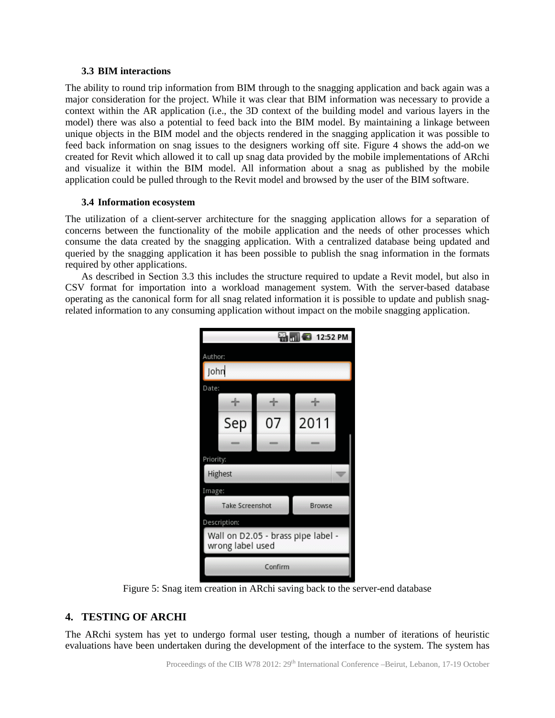#### **3.3 BIM interactions**

The ability to round trip information from BIM through to the snagging application and back again was a major consideration for the project. While it was clear that BIM information was necessary to provide a context within the AR application (i.e., the 3D context of the building model and various layers in the model) there was also a potential to feed back into the BIM model. By maintaining a linkage between unique objects in the BIM model and the objects rendered in the snagging application it was possible to feed back information on snag issues to the designers working off site. Figure 4 shows the add-on we created for Revit which allowed it to call up snag data provided by the mobile implementations of ARchi and visualize it within the BIM model. All information about a snag as published by the mobile application could be pulled through to the Revit model and browsed by the user of the BIM software.

#### **3.4 Information ecosystem**

The utilization of a client-server architecture for the snagging application allows for a separation of concerns between the functionality of the mobile application and the needs of other processes which consume the data created by the snagging application. With a centralized database being updated and queried by the snagging application it has been possible to publish the snag information in the formats required by other applications.

As described in Section 3.3 this includes the structure required to update a Revit model, but also in CSV format for importation into a workload management system. With the server-based database operating as the canonical form for all snag related information it is possible to update and publish snagrelated information to any consuming application without impact on the mobile snagging application.

|                                                        | 3 12:52 PM             |               |      |  |  |  |  |
|--------------------------------------------------------|------------------------|---------------|------|--|--|--|--|
| Author:                                                |                        |               |      |  |  |  |  |
| John                                                   |                        |               |      |  |  |  |  |
| Date:                                                  |                        |               |      |  |  |  |  |
|                                                        | ÷                      | ÷             | ÷    |  |  |  |  |
|                                                        | Sep                    | 07            | 2011 |  |  |  |  |
|                                                        |                        |               |      |  |  |  |  |
| Priority:                                              |                        |               |      |  |  |  |  |
| Highest                                                |                        |               |      |  |  |  |  |
|                                                        | Image:                 |               |      |  |  |  |  |
|                                                        | <b>Take Screenshot</b> | <b>Browse</b> |      |  |  |  |  |
|                                                        | Description:           |               |      |  |  |  |  |
| Wall on D2.05 - brass pipe label -<br>wrong label used |                        |               |      |  |  |  |  |
|                                                        | Confirm                |               |      |  |  |  |  |

Figure 5: Snag item creation in ARchi saving back to the server-end database

# **4. TESTING OF ARCHI**

The ARchi system has yet to undergo formal user testing, though a number of iterations of heuristic evaluations have been undertaken during the development of the interface to the system. The system has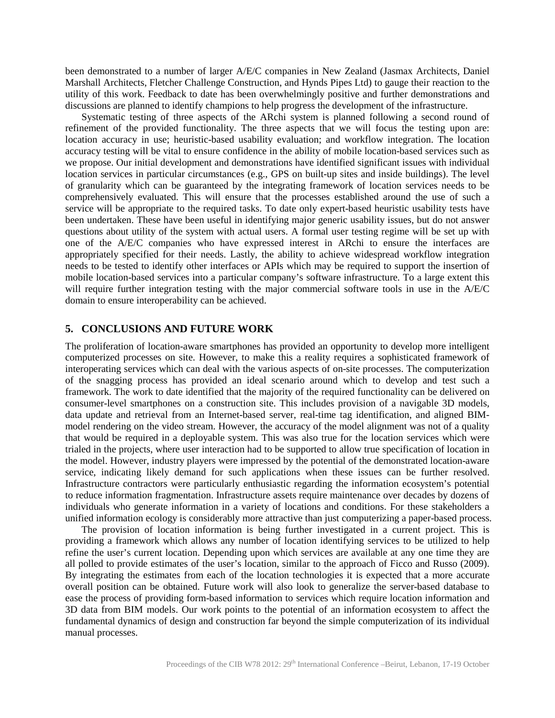been demonstrated to a number of larger A/E/C companies in New Zealand (Jasmax Architects, Daniel Marshall Architects, Fletcher Challenge Construction, and Hynds Pipes Ltd) to gauge their reaction to the utility of this work. Feedback to date has been overwhelmingly positive and further demonstrations and discussions are planned to identify champions to help progress the development of the infrastructure.

Systematic testing of three aspects of the ARchi system is planned following a second round of refinement of the provided functionality. The three aspects that we will focus the testing upon are: location accuracy in use; heuristic-based usability evaluation; and workflow integration. The location accuracy testing will be vital to ensure confidence in the ability of mobile location-based services such as we propose. Our initial development and demonstrations have identified significant issues with individual location services in particular circumstances (e.g., GPS on built-up sites and inside buildings). The level of granularity which can be guaranteed by the integrating framework of location services needs to be comprehensively evaluated. This will ensure that the processes established around the use of such a service will be appropriate to the required tasks. To date only expert-based heuristic usability tests have been undertaken. These have been useful in identifying major generic usability issues, but do not answer questions about utility of the system with actual users. A formal user testing regime will be set up with one of the A/E/C companies who have expressed interest in ARchi to ensure the interfaces are appropriately specified for their needs. Lastly, the ability to achieve widespread workflow integration needs to be tested to identify other interfaces or APIs which may be required to support the insertion of mobile location-based services into a particular company's software infrastructure. To a large extent this will require further integration testing with the major commercial software tools in use in the A/E/C domain to ensure interoperability can be achieved.

# **5. CONCLUSIONS AND FUTURE WORK**

The proliferation of location-aware smartphones has provided an opportunity to develop more intelligent computerized processes on site. However, to make this a reality requires a sophisticated framework of interoperating services which can deal with the various aspects of on-site processes. The computerization of the snagging process has provided an ideal scenario around which to develop and test such a framework. The work to date identified that the majority of the required functionality can be delivered on consumer-level smartphones on a construction site. This includes provision of a navigable 3D models, data update and retrieval from an Internet-based server, real-time tag identification, and aligned BIMmodel rendering on the video stream. However, the accuracy of the model alignment was not of a quality that would be required in a deployable system. This was also true for the location services which were trialed in the projects, where user interaction had to be supported to allow true specification of location in the model. However, industry players were impressed by the potential of the demonstrated location-aware service, indicating likely demand for such applications when these issues can be further resolved. Infrastructure contractors were particularly enthusiastic regarding the information ecosystem's potential to reduce information fragmentation. Infrastructure assets require maintenance over decades by dozens of individuals who generate information in a variety of locations and conditions. For these stakeholders a unified information ecology is considerably more attractive than just computerizing a paper-based process.

The provision of location information is being further investigated in a current project. This is providing a framework which allows any number of location identifying services to be utilized to help refine the user's current location. Depending upon which services are available at any one time they are all polled to provide estimates of the user's location, similar to the approach of Ficco and Russo (2009). By integrating the estimates from each of the location technologies it is expected that a more accurate overall position can be obtained. Future work will also look to generalize the server-based database to ease the process of providing form-based information to services which require location information and 3D data from BIM models. Our work points to the potential of an information ecosystem to affect the fundamental dynamics of design and construction far beyond the simple computerization of its individual manual processes.